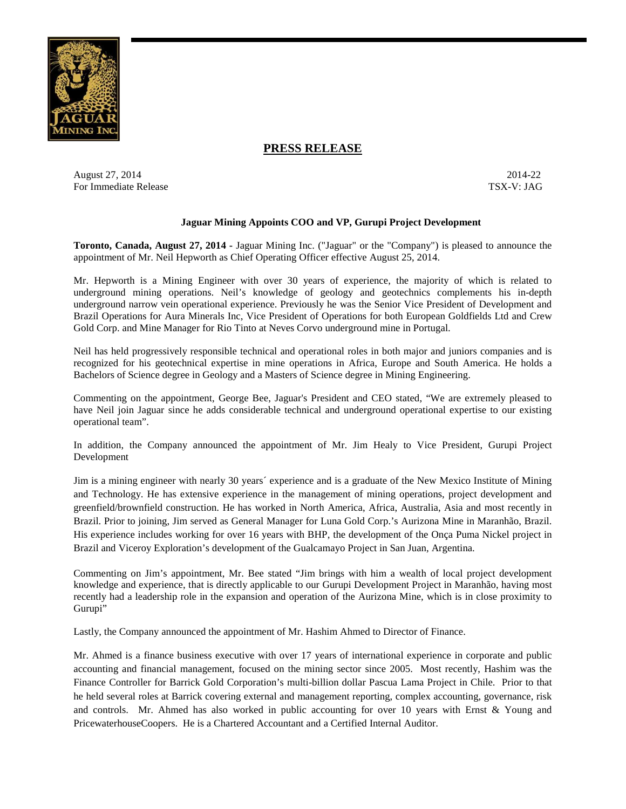

## **PRESS RELEASE**

August 27, 2014-22 2014-22 For Immediate Release TSX-V: JAG

## **Jaguar Mining Appoints COO and VP, Gurupi Project Development**

**Toronto, Canada, August 27, 2014 -** Jaguar Mining Inc. ("Jaguar" or the "Company") is pleased to announce the appointment of Mr. Neil Hepworth as Chief Operating Officer effective August 25, 2014.

Mr. Hepworth is a Mining Engineer with over 30 years of experience, the majority of which is related to underground mining operations. Neil's knowledge of geology and geotechnics complements his in-depth underground narrow vein operational experience. Previously he was the Senior Vice President of Development and Brazil Operations for Aura Minerals Inc, Vice President of Operations for both European Goldfields Ltd and Crew Gold Corp. and Mine Manager for Rio Tinto at Neves Corvo underground mine in Portugal.

Neil has held progressively responsible technical and operational roles in both major and juniors companies and is recognized for his geotechnical expertise in mine operations in Africa, Europe and South America. He holds a Bachelors of Science degree in Geology and a Masters of Science degree in Mining Engineering.

Commenting on the appointment, George Bee, Jaguar's President and CEO stated, "We are extremely pleased to have Neil join Jaguar since he adds considerable technical and underground operational expertise to our existing operational team".

In addition, the Company announced the appointment of Mr. Jim Healy to Vice President, Gurupi Project Development

Jim is a mining engineer with nearly 30 years´ experience and is a graduate of the New Mexico Institute of Mining and Technology. He has extensive experience in the management of mining operations, project development and greenfield/brownfield construction. He has worked in North America, Africa, Australia, Asia and most recently in Brazil. Prior to joining, Jim served as General Manager for Luna Gold Corp.'s Aurizona Mine in Maranhão, Brazil. His experience includes working for over 16 years with BHP, the development of the Onça Puma Nickel project in Brazil and Viceroy Exploration's development of the Gualcamayo Project in San Juan, Argentina.

Commenting on Jim's appointment, Mr. Bee stated "Jim brings with him a wealth of local project development knowledge and experience, that is directly applicable to our Gurupi Development Project in Maranhão, having most recently had a leadership role in the expansion and operation of the Aurizona Mine, which is in close proximity to Gurupi"

Lastly, the Company announced the appointment of Mr. Hashim Ahmed to Director of Finance.

Mr. Ahmed is a finance business executive with over 17 years of international experience in corporate and public accounting and financial management, focused on the mining sector since 2005. Most recently, Hashim was the Finance Controller for Barrick Gold Corporation's multi-billion dollar Pascua Lama Project in Chile. Prior to that he held several roles at Barrick covering external and management reporting, complex accounting, governance, risk and controls. Mr. Ahmed has also worked in public accounting for over 10 years with Ernst & Young and PricewaterhouseCoopers. He is a Chartered Accountant and a Certified Internal Auditor.